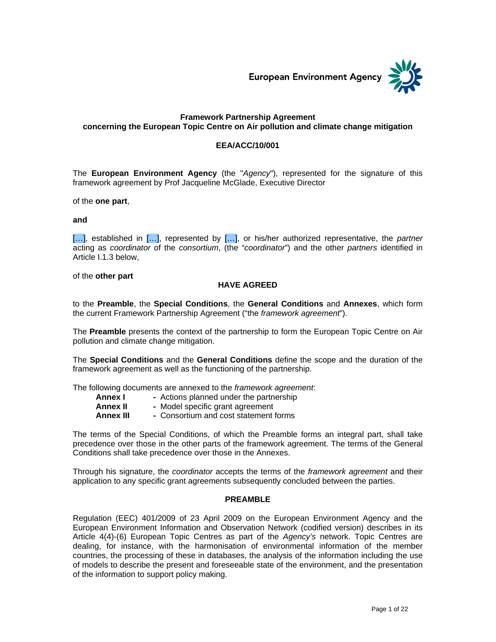**European Environment Agency** 



# **Framework Partnership Agreement concerning the European Topic Centre on Air pollution and climate change mitigation**

### **EEA/ACC/10/001**

The **European Environment Agency** (the "*Agency*"), represented for the signature of this framework agreement by Prof Jacqueline McGlade, Executive Director

of the **one part**,

#### **and**

[…], established in […], represented by […], or his/her authorized representative, the *partner* acting as *coordinator* of the *consortium*, (the "*coordinator*") and the other *partners* identified in Article I.1.3 below,

#### of the **other part**

# **HAVE AGREED**

to the **Preamble**, the **Special Conditions**, the **General Conditions** and **Annexes**, which form the current Framework Partnership Agreement ("the *framework agreement*").

The **Preamble** presents the context of the partnership to form the European Topic Centre on Air pollution and climate change mitigation.

The **Special Conditions** and the **General Conditions** define the scope and the duration of the framework agreement as well as the functioning of the partnership.

The following documents are annexed to the *framework agreement*:

**Annex I** - Actions planned under the partnership **Annex II - Model specific grant agreement Annex III -** Consortium and cost statement forms

The terms of the Special Conditions, of which the Preamble forms an integral part, shall take precedence over those in the other parts of the framework agreement. The terms of the General Conditions shall take precedence over those in the Annexes.

Through his signature, the *coordinator* accepts the terms of the *framework agreement* and their application to any specific grant agreements subsequently concluded between the parties.

# **PREAMBLE**

Regulation (EEC) 401/2009 of 23 April 2009 on the European Environment Agency and the European Environment Information and Observation Network (codified version) describes in its Article 4(4)-(6) European Topic Centres as part of the *Agency's* network. Topic Centres are dealing, for instance, with the harmonisation of environmental information of the member countries, the processing of these in databases, the analysis of the information including the use of models to describe the present and foreseeable state of the environment, and the presentation of the information to support policy making.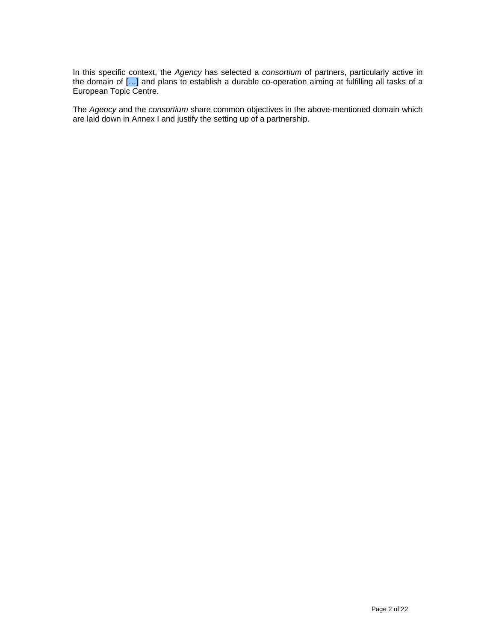In this specific context, the *Agency* has selected a *consortium* of partners, particularly active in the domain of […] and plans to establish a durable co-operation aiming at fulfilling all tasks of a European Topic Centre.

The *Agency* and the *consortium* share common objectives in the above-mentioned domain which are laid down in Annex I and justify the setting up of a partnership.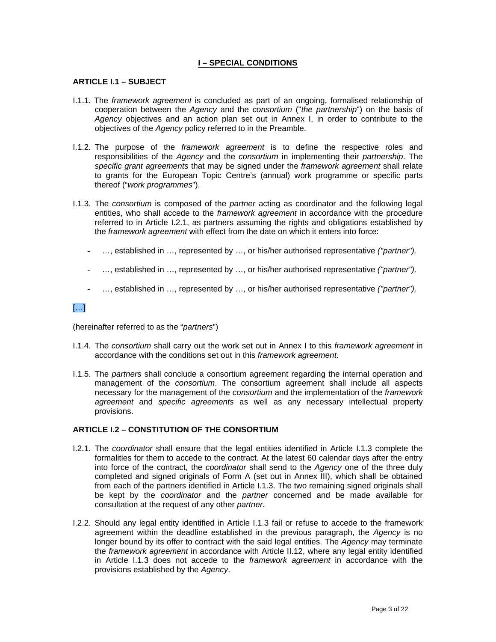# **I – SPECIAL CONDITIONS**

# **ARTICLE I.1 – SUBJECT**

- I.1.1. The *framework agreement* is concluded as part of an ongoing, formalised relationship of cooperation between the *Agency* and the *consortium* ("*the partnership*") on the basis of *Agency* objectives and an action plan set out in Annex I, in order to contribute to the objectives of the *Agency* policy referred to in the Preamble.
- I.1.2. The purpose of the *framework agreement* is to define the respective roles and responsibilities of the *Agency* and the *consortium* in implementing their *partnership*. The *specific grant agreements* that may be signed under the *framework agreement* shall relate to grants for the European Topic Centre's (annual) work programme or specific parts thereof ("*work programmes*").
- I.1.3. The *consortium* is composed of the *partner* acting as coordinator and the following legal entities, who shall accede to the *framework agreement* in accordance with the procedure referred to in Article I.2.1, as partners assuming the rights and obligations established by the *framework agreement* with effect from the date on which it enters into force:
	- …, established in …, represented by …, or his/her authorised representative *("partner"),*
	- ..., established in ..., represented by ..., or his/her authorised representative *("partner")*,
	- …, established in …, represented by …, or his/her authorised representative *("partner"),*

[…]

(hereinafter referred to as the "*partners*")

- I.1.4. The *consortium* shall carry out the work set out in Annex I to this *framework agreement* in accordance with the conditions set out in this *framework agreement*.
- I.1.5. The *partners* shall conclude a consortium agreement regarding the internal operation and management of the *consortium*. The consortium agreement shall include all aspects necessary for the management of the *consortium* and the implementation of the *framework agreement* and *specific agreements* as well as any necessary intellectual property provisions.

# **ARTICLE I.2 – CONSTITUTION OF THE CONSORTIUM**

- I.2.1. The *coordinator* shall ensure that the legal entities identified in Article I.1.3 complete the formalities for them to accede to the contract. At the latest 60 calendar days after the entry into force of the contract, the *coordinator* shall send to the *Agency* one of the three duly completed and signed originals of Form A (set out in Annex III), which shall be obtained from each of the partners identified in Article I.1.3. The two remaining signed originals shall be kept by the *coordinator* and the *partner* concerned and be made available for consultation at the request of any other *partner*.
- I.2.2. Should any legal entity identified in Article I.1.3 fail or refuse to accede to the framework agreement within the deadline established in the previous paragraph, the *Agency* is no longer bound by its offer to contract with the said legal entities. The *Agency* may terminate the *framework agreement* in accordance with Article II.12, where any legal entity identified in Article I.1.3 does not accede to the *framework agreement* in accordance with the provisions established by the *Agency*.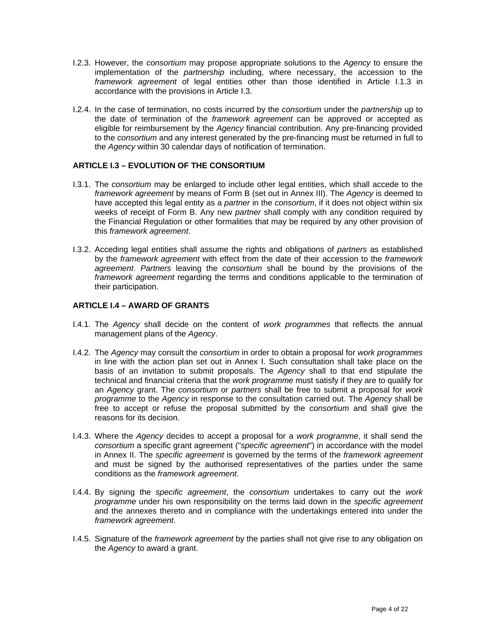- I.2.3. However, the *consortium* may propose appropriate solutions to the *Agency* to ensure the implementation of the *partnership* including, where necessary, the accession to the *framework agreement* of legal entities other than those identified in Article I.1.3 in accordance with the provisions in Article I.3.
- I.2.4. In the case of termination, no costs incurred by the *consortium* under the *partnership* up to the date of termination of the *framework agreement* can be approved or accepted as eligible for reimbursement by the *Agency* financial contribution. Any pre-financing provided to the *consortium* and any interest generated by the pre-financing must be returned in full to the *Agency* within 30 calendar days of notification of termination.

# **ARTICLE I.3 – EVOLUTION OF THE CONSORTIUM**

- I.3.1. The *consortium* may be enlarged to include other legal entities, which shall accede to the *framework agreement* by means of Form B (set out in Annex III). The *Agency* is deemed to have accepted this legal entity as a *partner* in the *consortium*, if it does not object within six weeks of receipt of Form B. Any new *partner* shall comply with any condition required by the Financial Regulation or other formalities that may be required by any other provision of this *framework agreement*.
- I.3.2. Acceding legal entities shall assume the rights and obligations of *partners* as established by the *framework agreement* with effect from the date of their accession to the *framework agreement*. *Partners* leaving the *consortium* shall be bound by the provisions of the *framework agreement* regarding the terms and conditions applicable to the termination of their participation.

# **ARTICLE I.4 – AWARD OF GRANTS**

- I.4.1. The *Agency* shall decide on the content of *work programmes* that reflects the annual management plans of the *Agency*.
- I.4.2. The *Agency* may consult the *consortium* in order to obtain a proposal for *work programmes* in line with the action plan set out in Annex I. Such consultation shall take place on the basis of an invitation to submit proposals. The *Agency* shall to that end stipulate the technical and financial criteria that the *work programme* must satisfy if they are to qualify for an *Agency* grant. The *consortium* or *partners* shall be free to submit a proposal for *work programme* to the *Agency* in response to the consultation carried out. The *Agency* shall be free to accept or refuse the proposal submitted by the *consortium* and shall give the reasons for its decision.
- I.4.3. Where the *Agency* decides to accept a proposal for a *work programme*, it shall send the *consortium* a specific grant agreement ("*specific agreement*") in accordance with the model in Annex II. The *specific agreement* is governed by the terms of the *framework agreement* and must be signed by the authorised representatives of the parties under the same conditions as the *framework agreement*.
- I.4.4. By signing the *specific agreement*, the *consortium* undertakes to carry out the *work programme* under his own responsibility on the terms laid down in the *specific agreement* and the annexes thereto and in compliance with the undertakings entered into under the *framework agreement*.
- I.4.5. Signature of the *framework agreement* by the parties shall not give rise to any obligation on the *Agency* to award a grant.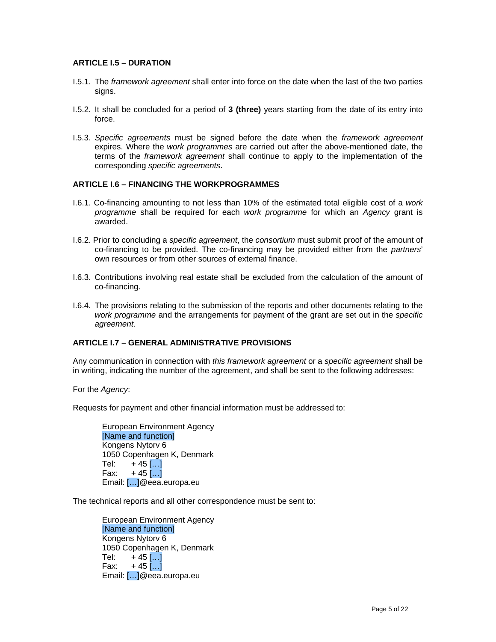# **ARTICLE I.5 – DURATION**

- I.5.1. The *framework agreement* shall enter into force on the date when the last of the two parties signs.
- I.5.2. It shall be concluded for a period of **3 (three)** years starting from the date of its entry into force.
- I.5.3. *Specific agreements* must be signed before the date when the *framework agreement* expires. Where the *work programmes* are carried out after the above-mentioned date, the terms of the *framework agreement* shall continue to apply to the implementation of the corresponding *specific agreements*.

# **ARTICLE I.6 – FINANCING THE WORKPROGRAMMES**

- I.6.1. Co-financing amounting to not less than 10% of the estimated total eligible cost of a *work programme* shall be required for each *work programme* for which an *Agency* grant is awarded.
- I.6.2. Prior to concluding a *specific agreement*, the *consortium* must submit proof of the amount of co-financing to be provided. The co-financing may be provided either from the *partners*' own resources or from other sources of external finance.
- I.6.3. Contributions involving real estate shall be excluded from the calculation of the amount of co-financing.
- I.6.4. The provisions relating to the submission of the reports and other documents relating to the *work programme* and the arrangements for payment of the grant are set out in the *specific agreement*.

# **ARTICLE I.7 – GENERAL ADMINISTRATIVE PROVISIONS**

Any communication in connection with *this framework agreement* or a *specific agreement* shall be in writing, indicating the number of the agreement, and shall be sent to the following addresses:

For the *Agency*:

Requests for payment and other financial information must be addressed to:

European Environment Agency [Name and function] Kongens Nytorv 6 1050 Copenhagen K, Denmark Tel:  $+ 45$  [...] Fax:  $+ 45$  [...] Email: […]@eea.europa.eu

The technical reports and all other correspondence must be sent to:

European Environment Agency [Name and function] Kongens Nytorv 6 1050 Copenhagen K, Denmark Tel:  $+ 45$  [...] Fax:  $+ 45$  [...] Email: […]@eea.europa.eu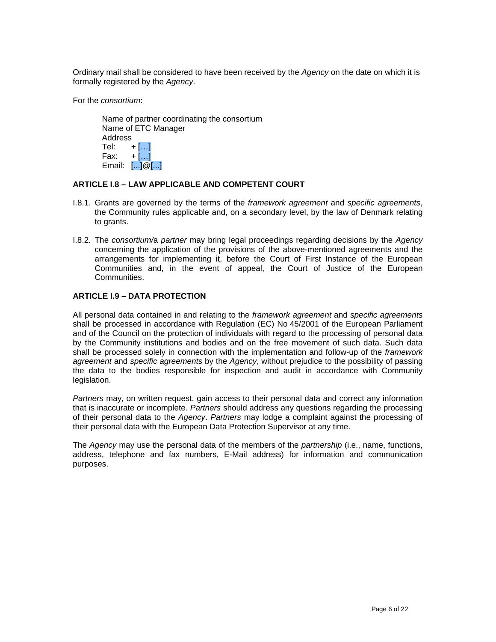Ordinary mail shall be considered to have been received by the *Agency* on the date on which it is formally registered by the *Agency*.

For the *consortium*:

Name of partner coordinating the consortium Name of ETC Manager Address<br>Tel:  $+$  […] Fax:  $+$  [...] Email: [...]@[...]

# **ARTICLE I.8 – LAW APPLICABLE AND COMPETENT COURT**

- I.8.1. Grants are governed by the terms of the *framework agreement* and *specific agreements*, the Community rules applicable and, on a secondary level, by the law of Denmark relating to grants.
- I.8.2. The *consortium/*a *partner* may bring legal proceedings regarding decisions by the *Agency* concerning the application of the provisions of the above-mentioned agreements and the arrangements for implementing it, before the Court of First Instance of the European Communities and, in the event of appeal, the Court of Justice of the European Communities.

# **ARTICLE I.9 – DATA PROTECTION**

All personal data contained in and relating to the *framework agreement* and *specific agreements* shall be processed in accordance with Regulation (EC) No 45/2001 of the European Parliament and of the Council on the protection of individuals with regard to the processing of personal data by the Community institutions and bodies and on the free movement of such data. Such data shall be processed solely in connection with the implementation and follow-up of the *framework agreement* and *specific agreements* by the *Agency*, without prejudice to the possibility of passing the data to the bodies responsible for inspection and audit in accordance with Community legislation.

*Partners* may, on written request, gain access to their personal data and correct any information that is inaccurate or incomplete. *Partners* should address any questions regarding the processing of their personal data to the *Agency*. *Partners* may lodge a complaint against the processing of their personal data with the European Data Protection Supervisor at any time.

The *Agency* may use the personal data of the members of the *partnership* (i.e., name, functions, address, telephone and fax numbers, E-Mail address) for information and communication purposes.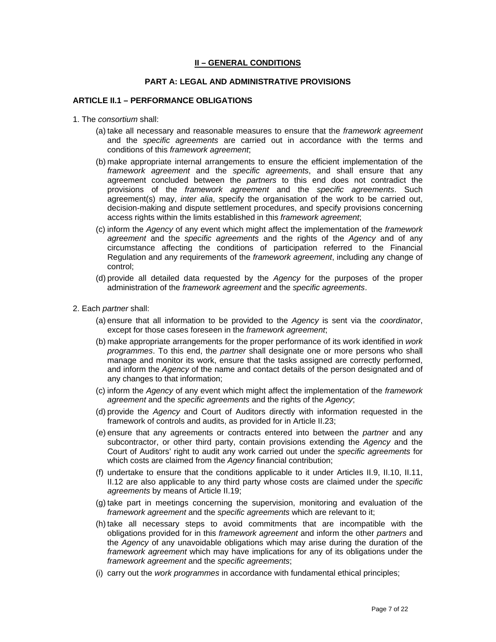# **II – GENERAL CONDITIONS**

#### **PART A: LEGAL AND ADMINISTRATIVE PROVISIONS**

#### **ARTICLE II.1 – PERFORMANCE OBLIGATIONS**

- 1. The *consortium* shall:
	- (a) take all necessary and reasonable measures to ensure that the *framework agreement* and the *specific agreements* are carried out in accordance with the terms and conditions of this *framework agreement*;
	- (b) make appropriate internal arrangements to ensure the efficient implementation of the *framework agreement* and the *specific agreements*, and shall ensure that any agreement concluded between the *partners* to this end does not contradict the provisions of the *framework agreement* and the *specific agreements*. Such agreement(s) may, *inter alia*, specify the organisation of the work to be carried out, decision-making and dispute settlement procedures, and specify provisions concerning access rights within the limits established in this *framework agreement*;
	- (c) inform the *Agency* of any event which might affect the implementation of the *framework agreement* and the *specific agreements* and the rights of the *Agency* and of any circumstance affecting the conditions of participation referred to the Financial Regulation and any requirements of the *framework agreement*, including any change of control;
	- (d) provide all detailed data requested by the *Agency* for the purposes of the proper administration of the *framework agreement* and the *specific agreements*.
- 2. Each *partner* shall:
	- (a) ensure that all information to be provided to the *Agency* is sent via the *coordinator*, except for those cases foreseen in the *framework agreement*;
	- (b) make appropriate arrangements for the proper performance of its work identified in *work programmes*. To this end, the *partner* shall designate one or more persons who shall manage and monitor its work, ensure that the tasks assigned are correctly performed, and inform the *Agency* of the name and contact details of the person designated and of any changes to that information;
	- (c) inform the *Agency* of any event which might affect the implementation of the *framework agreement* and the *specific agreements* and the rights of the *Agency*;
	- (d) provide the *Agency* and Court of Auditors directly with information requested in the framework of controls and audits, as provided for in Article II.23;
	- (e) ensure that any agreements or contracts entered into between the *partner* and any subcontractor, or other third party, contain provisions extending the *Agency* and the Court of Auditors' right to audit any work carried out under the *specific agreements* for which costs are claimed from the *Agency* financial contribution;
	- (f) undertake to ensure that the conditions applicable to it under Articles II.9, II.10, II.11, II.12 are also applicable to any third party whose costs are claimed under the *specific agreements* by means of Article II.19;
	- (g) take part in meetings concerning the supervision, monitoring and evaluation of the *framework agreement* and the *specific agreements* which are relevant to it;
	- (h) take all necessary steps to avoid commitments that are incompatible with the obligations provided for in this *framework agreement* and inform the other *partners* and the *Agency* of any unavoidable obligations which may arise during the duration of the *framework agreement* which may have implications for any of its obligations under the *framework agreement* and the *specific agreements*;
	- (i) carry out the *work programmes* in accordance with fundamental ethical principles;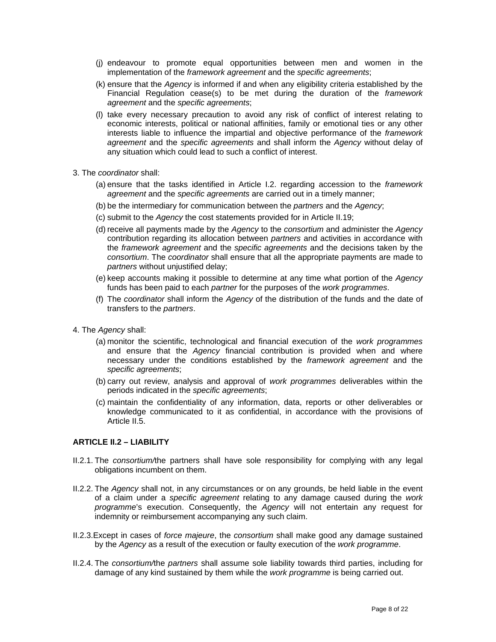- (j) endeavour to promote equal opportunities between men and women in the implementation of the *framework agreement* and the *specific agreements*;
- (k) ensure that the *Agency* is informed if and when any eligibility criteria established by the Financial Regulation cease(s) to be met during the duration of the *framework agreement* and the *specific agreements*;
- (l) take every necessary precaution to avoid any risk of conflict of interest relating to economic interests, political or national affinities, family or emotional ties or any other interests liable to influence the impartial and objective performance of the *framework agreement* and the *specific agreements* and shall inform the *Agency* without delay of any situation which could lead to such a conflict of interest.
- 3. The *coordinator* shall:
	- (a) ensure that the tasks identified in Article I.2. regarding accession to the *framework agreement* and the *specific agreements* are carried out in a timely manner;
	- (b) be the intermediary for communication between the *partners* and the *Agency*;
	- (c) submit to the *Agency* the cost statements provided for in Article II.19;
	- (d) receive all payments made by the *Agency* to the *consortium* and administer the *Agency* contribution regarding its allocation between *partners* and activities in accordance with the *framework agreement* and the *specific agreements* and the decisions taken by the *consortium*. The *coordinator* shall ensure that all the appropriate payments are made to *partners* without unjustified delay;
	- (e) keep accounts making it possible to determine at any time what portion of the *Agency* funds has been paid to each *partner* for the purposes of the *work programmes*.
	- (f) The *coordinator* shall inform the *Agency* of the distribution of the funds and the date of transfers to the *partners*.
- 4. The *Agency* shall:
	- (a) monitor the scientific, technological and financial execution of the *work programmes* and ensure that the *Agency* financial contribution is provided when and where necessary under the conditions established by the *framework agreement* and the *specific agreements*;
	- (b) carry out review, analysis and approval of *work programmes* deliverables within the periods indicated in the *specific agreements*;
	- (c) maintain the confidentiality of any information, data, reports or other deliverables or knowledge communicated to it as confidential, in accordance with the provisions of Article II.5.

### **ARTICLE II.2 – LIABILITY**

- II.2.1. The *consortium/*the partners shall have sole responsibility for complying with any legal obligations incumbent on them.
- II.2.2. The *Agency* shall not, in any circumstances or on any grounds, be held liable in the event of a claim under a *specific agreement* relating to any damage caused during the *work programme*'s execution. Consequently, the *Agency* will not entertain any request for indemnity or reimbursement accompanying any such claim.
- II.2.3.Except in cases of *force majeure*, the *consortium* shall make good any damage sustained by the *Agency* as a result of the execution or faulty execution of the *work programme*.
- II.2.4. The *consortium/*the *partners* shall assume sole liability towards third parties, including for damage of any kind sustained by them while the *work programme* is being carried out.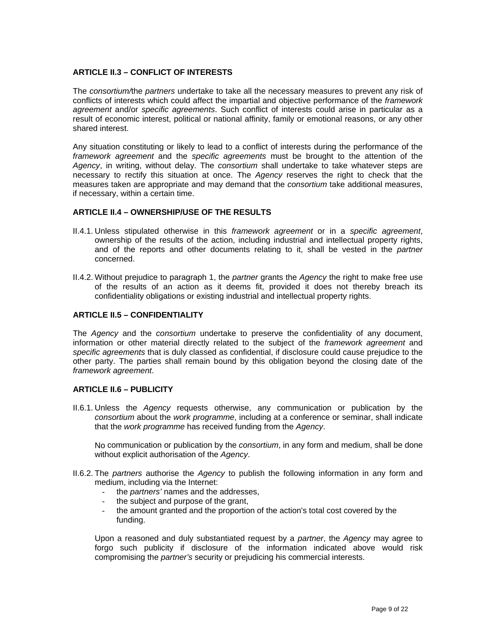# **ARTICLE II.3 – CONFLICT OF INTERESTS**

The *consortium/*the *partners* undertake to take all the necessary measures to prevent any risk of conflicts of interests which could affect the impartial and objective performance of the *framework agreement* and/or *specific agreements*. Such conflict of interests could arise in particular as a result of economic interest, political or national affinity, family or emotional reasons, or any other shared interest.

Any situation constituting or likely to lead to a conflict of interests during the performance of the *framework agreement* and the *specific agreements* must be brought to the attention of the *Agency*, in writing, without delay. The *consortium* shall undertake to take whatever steps are necessary to rectify this situation at once. The *Agency* reserves the right to check that the measures taken are appropriate and may demand that the *consortium* take additional measures, if necessary, within a certain time.

### **ARTICLE II.4 – OWNERSHIP/USE OF THE RESULTS**

- II.4.1. Unless stipulated otherwise in this *framework agreement* or in a *specific agreement*, ownership of the results of the action, including industrial and intellectual property rights, and of the reports and other documents relating to it, shall be vested in the *partner* concerned.
- II.4.2. Without prejudice to paragraph 1, the *partner* grants the *Agency* the right to make free use of the results of an action as it deems fit, provided it does not thereby breach its confidentiality obligations or existing industrial and intellectual property rights.

# **ARTICLE II.5 – CONFIDENTIALITY**

The *Agency* and the *consortium* undertake to preserve the confidentiality of any document, information or other material directly related to the subject of the *framework agreement* and *specific agreements* that is duly classed as confidential, if disclosure could cause prejudice to the other party. The parties shall remain bound by this obligation beyond the closing date of the *framework agreement*.

### **ARTICLE II.6 – PUBLICITY**

II.6.1. Unless the *Agency* requests otherwise, any communication or publication by the *consortium* about the *work programme*, including at a conference or seminar, shall indicate that the *work programme* has received funding from the *Agency*.

No communication or publication by the *consortium*, in any form and medium, shall be done without explicit authorisation of the *Agency*.

- II.6.2. The *partners* authorise the *Agency* to publish the following information in any form and medium, including via the Internet:
	- the *partners'* names and the addresses,
	- the subject and purpose of the grant.
	- the amount granted and the proportion of the action's total cost covered by the funding.

Upon a reasoned and duly substantiated request by a *partner*, the *Agency* may agree to forgo such publicity if disclosure of the information indicated above would risk compromising the *partner's* security or prejudicing his commercial interests.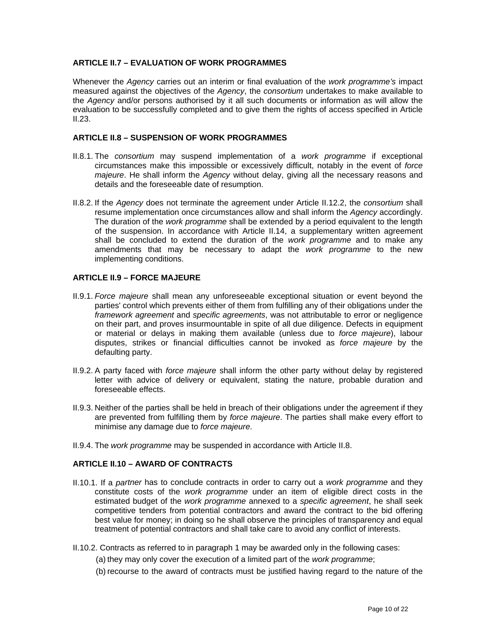# **ARTICLE II.7 – EVALUATION OF WORK PROGRAMMES**

Whenever the *Agency* carries out an interim or final evaluation of the *work programme's* impact measured against the objectives of the *Agency*, the *consortium* undertakes to make available to the *Agency* and/or persons authorised by it all such documents or information as will allow the evaluation to be successfully completed and to give them the rights of access specified in Article II.23.

### **ARTICLE II.8 – SUSPENSION OF WORK PROGRAMMES**

- II.8.1. The *consortium* may suspend implementation of a *work programme* if exceptional circumstances make this impossible or excessively difficult, notably in the event of *force majeure*. He shall inform the *Agency* without delay, giving all the necessary reasons and details and the foreseeable date of resumption.
- II.8.2. If the *Agency* does not terminate the agreement under Article II.12.2, the *consortium* shall resume implementation once circumstances allow and shall inform the *Agency* accordingly. The duration of the *work programme* shall be extended by a period equivalent to the length of the suspension. In accordance with Article II.14, a supplementary written agreement shall be concluded to extend the duration of the *work programme* and to make any amendments that may be necessary to adapt the *work programme* to the new implementing conditions.

# **ARTICLE II.9 – FORCE MAJEURE**

- II.9.1. *Force majeure* shall mean any unforeseeable exceptional situation or event beyond the parties' control which prevents either of them from fulfilling any of their obligations under the *framework agreement* and *specific agreements*, was not attributable to error or negligence on their part, and proves insurmountable in spite of all due diligence. Defects in equipment or material or delays in making them available (unless due to *force majeure*), labour disputes, strikes or financial difficulties cannot be invoked as *force majeure* by the defaulting party.
- II.9.2. A party faced with *force majeure* shall inform the other party without delay by registered letter with advice of delivery or equivalent, stating the nature, probable duration and foreseeable effects.
- II.9.3. Neither of the parties shall be held in breach of their obligations under the agreement if they are prevented from fulfilling them by *force majeure*. The parties shall make every effort to minimise any damage due to *force majeure*.
- II.9.4. The *work programme* may be suspended in accordance with Article II.8.

# **ARTICLE II.10 – AWARD OF CONTRACTS**

- II.10.1. If a *partner* has to conclude contracts in order to carry out a *work programme* and they constitute costs of the *work programme* under an item of eligible direct costs in the estimated budget of the *work programme* annexed to a *specific agreement*, he shall seek competitive tenders from potential contractors and award the contract to the bid offering best value for money; in doing so he shall observe the principles of transparency and equal treatment of potential contractors and shall take care to avoid any conflict of interests.
- II.10.2. Contracts as referred to in paragraph 1 may be awarded only in the following cases:
	- (a) they may only cover the execution of a limited part of the *work programme*;
	- (b) recourse to the award of contracts must be justified having regard to the nature of the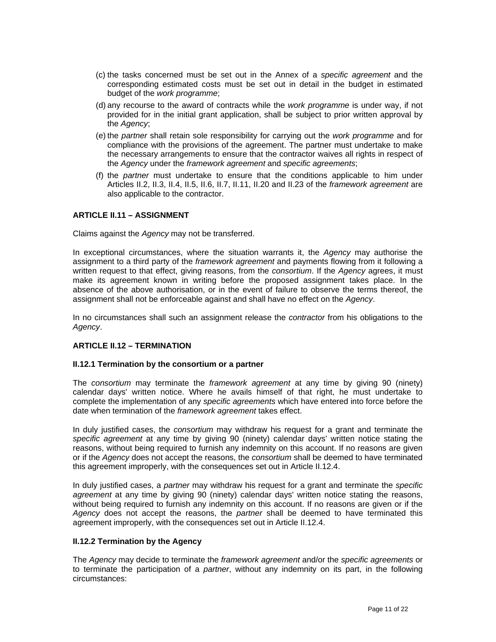- (c) the tasks concerned must be set out in the Annex of a *specific agreement* and the corresponding estimated costs must be set out in detail in the budget in estimated budget of the *work programme*;
- (d) any recourse to the award of contracts while the *work programme* is under way, if not provided for in the initial grant application, shall be subject to prior written approval by the *Agency*;
- (e) the *partner* shall retain sole responsibility for carrying out the *work programme* and for compliance with the provisions of the agreement. The partner must undertake to make the necessary arrangements to ensure that the contractor waives all rights in respect of the *Agency* under the *framework agreement* and *specific agreements*;
- (f) the *partner* must undertake to ensure that the conditions applicable to him under Articles II.2, II.3, II.4, II.5, II.6, II.7, II.11, II.20 and II.23 of the *framework agreement* are also applicable to the contractor.

# **ARTICLE II.11 – ASSIGNMENT**

Claims against the *Agency* may not be transferred.

In exceptional circumstances, where the situation warrants it, the *Agency* may authorise the assignment to a third party of the *framework agreement* and payments flowing from it following a written request to that effect, giving reasons, from the *consortium*. If the *Agency* agrees, it must make its agreement known in writing before the proposed assignment takes place. In the absence of the above authorisation, or in the event of failure to observe the terms thereof, the assignment shall not be enforceable against and shall have no effect on the *Agency*.

In no circumstances shall such an assignment release the *contractor* from his obligations to the *Agency*.

### **ARTICLE II.12 – TERMINATION**

#### **II.12.1 Termination by the consortium or a partner**

The *consortium* may terminate the *framework agreement* at any time by giving 90 (ninety) calendar days' written notice. Where he avails himself of that right, he must undertake to complete the implementation of any *specific agreements* which have entered into force before the date when termination of the *framework agreement* takes effect.

In duly justified cases, the *consortium* may withdraw his request for a grant and terminate the *specific agreement* at any time by giving 90 (ninety) calendar days' written notice stating the reasons, without being required to furnish any indemnity on this account. If no reasons are given or if the *Agency* does not accept the reasons, the *consortium* shall be deemed to have terminated this agreement improperly, with the consequences set out in Article II.12.4.

In duly justified cases, a *partner* may withdraw his request for a grant and terminate the *specific agreement* at any time by giving 90 (ninety) calendar days' written notice stating the reasons, without being required to furnish any indemnity on this account. If no reasons are given or if the *Agency* does not accept the reasons, the *partner* shall be deemed to have terminated this agreement improperly, with the consequences set out in Article II.12.4.

### **II.12.2 Termination by the Agency**

The *Agency* may decide to terminate the *framework agreement* and/or the *specific agreements* or to terminate the participation of a *partner*, without any indemnity on its part, in the following circumstances: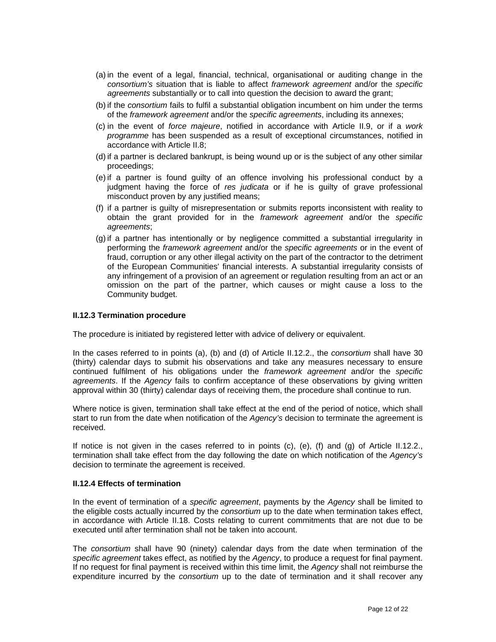- (a) in the event of a legal, financial, technical, organisational or auditing change in the *consortium's* situation that is liable to affect *framework agreement* and/or the *specific agreements* substantially or to call into question the decision to award the grant;
- (b) if the *consortium* fails to fulfil a substantial obligation incumbent on him under the terms of the *framework agreement* and/or the *specific agreements*, including its annexes;
- (c) in the event of *force majeure*, notified in accordance with Article II.9, or if a *work programme* has been suspended as a result of exceptional circumstances, notified in accordance with Article II.8;
- (d) if a partner is declared bankrupt, is being wound up or is the subject of any other similar proceedings;
- (e) if a partner is found guilty of an offence involving his professional conduct by a judgment having the force of *res judicata* or if he is guilty of grave professional misconduct proven by any justified means;
- (f) if a partner is guilty of misrepresentation or submits reports inconsistent with reality to obtain the grant provided for in the *framework agreement* and/or the *specific agreements*;
- (g) if a partner has intentionally or by negligence committed a substantial irregularity in performing the *framework agreement* and/or the *specific agreements* or in the event of fraud, corruption or any other illegal activity on the part of the contractor to the detriment of the European Communities' financial interests. A substantial irregularity consists of any infringement of a provision of an agreement or regulation resulting from an act or an omission on the part of the partner, which causes or might cause a loss to the Community budget.

#### **II.12.3 Termination procedure**

The procedure is initiated by registered letter with advice of delivery or equivalent.

In the cases referred to in points (a), (b) and (d) of Article II.12.2., the *consortium* shall have 30 (thirty) calendar days to submit his observations and take any measures necessary to ensure continued fulfilment of his obligations under the *framework agreement* and/or the *specific agreements*. If the *Agency* fails to confirm acceptance of these observations by giving written approval within 30 (thirty) calendar days of receiving them, the procedure shall continue to run.

Where notice is given, termination shall take effect at the end of the period of notice, which shall start to run from the date when notification of the *Agency's* decision to terminate the agreement is received.

If notice is not given in the cases referred to in points (c), (e), (f) and (g) of Article II.12.2., termination shall take effect from the day following the date on which notification of the *Agency's* decision to terminate the agreement is received.

### **II.12.4 Effects of termination**

In the event of termination of a *specific agreement*, payments by the *Agency* shall be limited to the eligible costs actually incurred by the *consortium* up to the date when termination takes effect, in accordance with Article II.18. Costs relating to current commitments that are not due to be executed until after termination shall not be taken into account.

The *consortium* shall have 90 (ninety) calendar days from the date when termination of the *specific agreement* takes effect, as notified by the *Agency*, to produce a request for final payment. If no request for final payment is received within this time limit, the *Agency* shall not reimburse the expenditure incurred by the *consortium* up to the date of termination and it shall recover any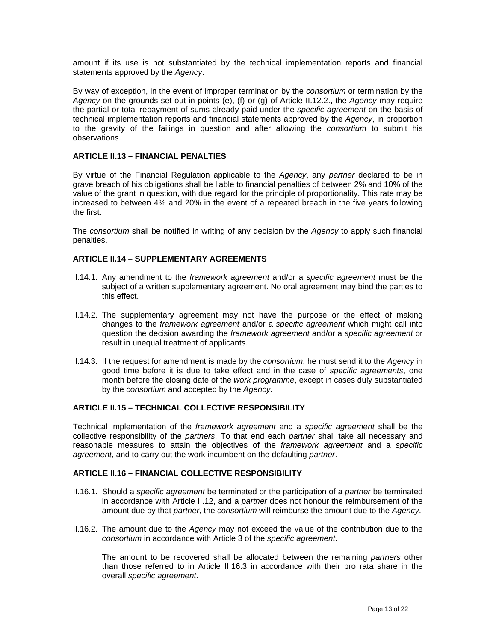amount if its use is not substantiated by the technical implementation reports and financial statements approved by the *Agency*.

By way of exception, in the event of improper termination by the *consortium* or termination by the *Agency* on the grounds set out in points (e), (f) or (g) of Article II.12.2., the *Agency* may require the partial or total repayment of sums already paid under the *specific agreement* on the basis of technical implementation reports and financial statements approved by the *Agency*, in proportion to the gravity of the failings in question and after allowing the *consortium* to submit his observations.

# **ARTICLE II.13 – FINANCIAL PENALTIES**

By virtue of the Financial Regulation applicable to the *Agency*, any *partner* declared to be in grave breach of his obligations shall be liable to financial penalties of between 2% and 10% of the value of the grant in question, with due regard for the principle of proportionality. This rate may be increased to between 4% and 20% in the event of a repeated breach in the five years following the first.

The *consortium* shall be notified in writing of any decision by the *Agency* to apply such financial penalties.

# **ARTICLE II.14 – SUPPLEMENTARY AGREEMENTS**

- II.14.1. Any amendment to the *framework agreement* and/or a *specific agreement* must be the subject of a written supplementary agreement. No oral agreement may bind the parties to this effect.
- II.14.2. The supplementary agreement may not have the purpose or the effect of making changes to the *framework agreement* and/or a *specific agreement* which might call into question the decision awarding the *framework agreement* and/or a *specific agreement* or result in unequal treatment of applicants.
- II.14.3. If the request for amendment is made by the *consortium*, he must send it to the *Agency* in good time before it is due to take effect and in the case of *specific agreements*, one month before the closing date of the *work programme*, except in cases duly substantiated by the *consortium* and accepted by the *Agency*.

# **ARTICLE II.15 – TECHNICAL COLLECTIVE RESPONSIBILITY**

Technical implementation of the *framework agreement* and a *specific agreement* shall be the collective responsibility of the *partners*. To that end each *partner* shall take all necessary and reasonable measures to attain the objectives of the *framework agreement* and a *specific agreement*, and to carry out the work incumbent on the defaulting *partner*.

# **ARTICLE II.16 – FINANCIAL COLLECTIVE RESPONSIBILITY**

- II.16.1. Should a *specific agreement* be terminated or the participation of a *partner* be terminated in accordance with Article II.12, and a *partner* does not honour the reimbursement of the amount due by that *partner*, the *consortium* will reimburse the amount due to the *Agency*.
- II.16.2. The amount due to the *Agency* may not exceed the value of the contribution due to the *consortium* in accordance with Article 3 of the *specific agreement*.

The amount to be recovered shall be allocated between the remaining *partners* other than those referred to in Article II.16.3 in accordance with their pro rata share in the overall *specific agreement*.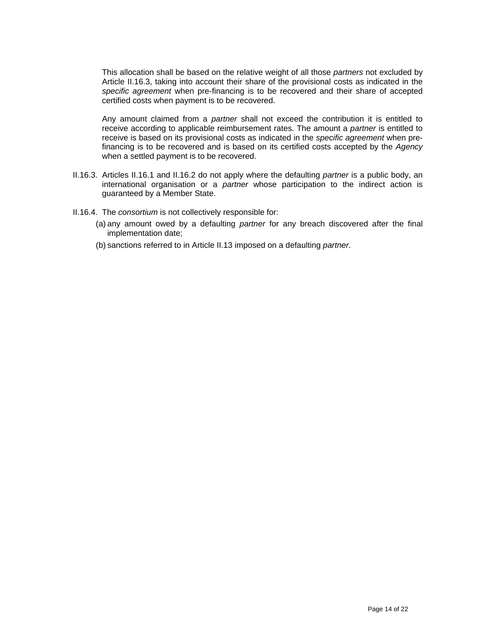This allocation shall be based on the relative weight of all those *partners* not excluded by Article II.16.3, taking into account their share of the provisional costs as indicated in the *specific agreement* when pre-financing is to be recovered and their share of accepted certified costs when payment is to be recovered.

Any amount claimed from a *partner* shall not exceed the contribution it is entitled to receive according to applicable reimbursement rates. The amount a *partner* is entitled to receive is based on its provisional costs as indicated in the *specific agreement* when prefinancing is to be recovered and is based on its certified costs accepted by the *Agency* when a settled payment is to be recovered.

- II.16.3. Articles II.16.1 and II.16.2 do not apply where the defaulting *partner* is a public body, an international organisation or a *partner* whose participation to the indirect action is guaranteed by a Member State.
- II.16.4. The *consortium* is not collectively responsible for:
	- (a) any amount owed by a defaulting *partner* for any breach discovered after the final implementation date;
	- (b) sanctions referred to in Article II.13 imposed on a defaulting *partner*.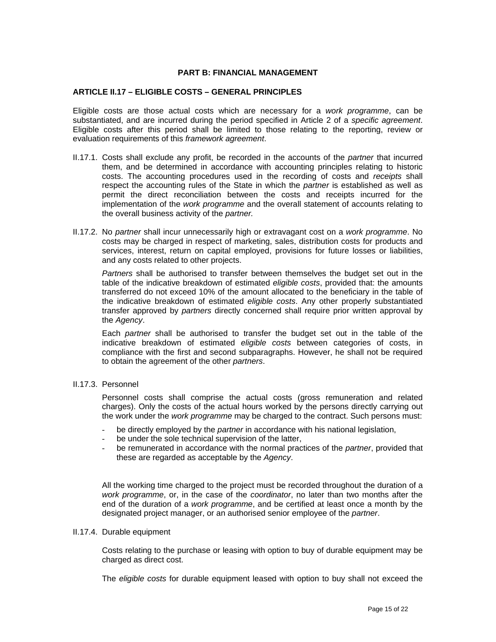# **PART B: FINANCIAL MANAGEMENT**

#### **ARTICLE II.17 – ELIGIBLE COSTS – GENERAL PRINCIPLES**

Eligible costs are those actual costs which are necessary for a *work programme*, can be substantiated, and are incurred during the period specified in Article 2 of a *specific agreement*. Eligible costs after this period shall be limited to those relating to the reporting, review or evaluation requirements of this *framework agreement*.

- II.17.1. Costs shall exclude any profit, be recorded in the accounts of the *partner* that incurred them, and be determined in accordance with accounting principles relating to historic costs. The accounting procedures used in the recording of costs and *receipts* shall respect the accounting rules of the State in which the *partner* is established as well as permit the direct reconciliation between the costs and receipts incurred for the implementation of the *work programme* and the overall statement of accounts relating to the overall business activity of the *partner.*
- II.17.2. No *partner* shall incur unnecessarily high or extravagant cost on a *work programme*. No costs may be charged in respect of marketing, sales, distribution costs for products and services, interest, return on capital employed, provisions for future losses or liabilities, and any costs related to other projects.

*Partners* shall be authorised to transfer between themselves the budget set out in the table of the indicative breakdown of estimated *eligible costs*, provided that: the amounts transferred do not exceed 10% of the amount allocated to the beneficiary in the table of the indicative breakdown of estimated *eligible costs*. Any other properly substantiated transfer approved by *partners* directly concerned shall require prior written approval by the *Agency*.

Each *partner* shall be authorised to transfer the budget set out in the table of the indicative breakdown of estimated *eligible costs* between categories of costs, in compliance with the first and second subparagraphs. However, he shall not be required to obtain the agreement of the other *partners*.

II.17.3. Personnel

Personnel costs shall comprise the actual costs (gross remuneration and related charges). Only the costs of the actual hours worked by the persons directly carrying out the work under the *work programme* may be charged to the contract. Such persons must:

- be directly employed by the *partner* in accordance with his national legislation,
- be under the sole technical supervision of the latter.
- be remunerated in accordance with the normal practices of the *partner*, provided that these are regarded as acceptable by the *Agency*.

All the working time charged to the project must be recorded throughout the duration of a *work programme*, or, in the case of the *coordinator*, no later than two months after the end of the duration of a *work programme*, and be certified at least once a month by the designated project manager, or an authorised senior employee of the *partner*.

#### II.17.4. Durable equipment

Costs relating to the purchase or leasing with option to buy of durable equipment may be charged as direct cost.

The *eligible costs* for durable equipment leased with option to buy shall not exceed the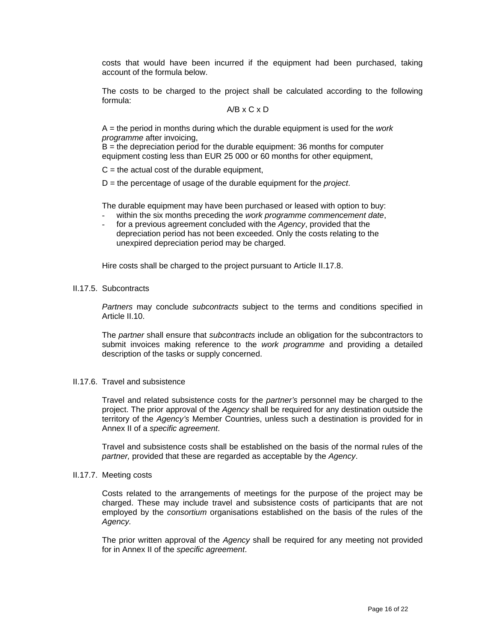costs that would have been incurred if the equipment had been purchased, taking account of the formula below.

The costs to be charged to the project shall be calculated according to the following formula:

A/B x C x D

A = the period in months during which the durable equipment is used for the *work programme* after invoicing,

 $B =$  the depreciation period for the durable equipment: 36 months for computer equipment costing less than EUR 25 000 or 60 months for other equipment,

 $C =$  the actual cost of the durable equipment,

D = the percentage of usage of the durable equipment for the *project*.

The durable equipment may have been purchased or leased with option to buy:

- within the six months preceding the *work programme commencement date*,
- for a previous agreement concluded with the *Agency*, provided that the depreciation period has not been exceeded. Only the costs relating to the unexpired depreciation period may be charged.

Hire costs shall be charged to the project pursuant to Article II.17.8.

#### II.17.5. Subcontracts

*Partners* may conclude *subcontracts* subject to the terms and conditions specified in Article II.10.

The *partner* shall ensure that *subcontracts* include an obligation for the subcontractors to submit invoices making reference to the *work programme* and providing a detailed description of the tasks or supply concerned.

### II.17.6. Travel and subsistence

Travel and related subsistence costs for the *partner's* personnel may be charged to the project. The prior approval of the *Agency* shall be required for any destination outside the territory of the *Agency's* Member Countries, unless such a destination is provided for in Annex II of a *specific agreement*.

Travel and subsistence costs shall be established on the basis of the normal rules of the *partner,* provided that these are regarded as acceptable by the *Agency*.

#### II.17.7. Meeting costs

Costs related to the arrangements of meetings for the purpose of the project may be charged. These may include travel and subsistence costs of participants that are not employed by the *consortium* organisations established on the basis of the rules of the *Agency.*

The prior written approval of the *Agency* shall be required for any meeting not provided for in Annex II of the *specific agreement*.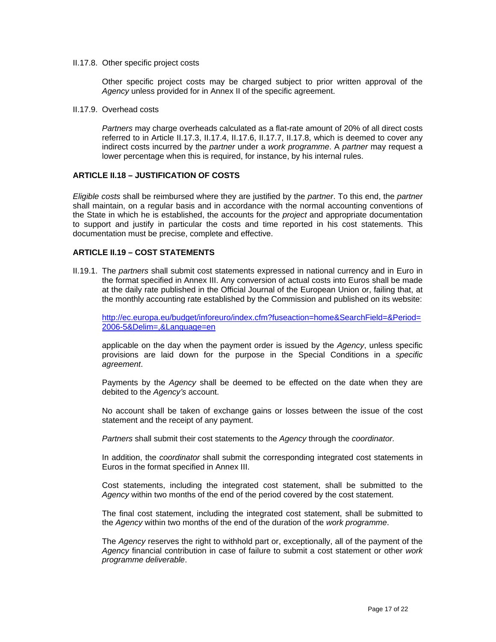II.17.8. Other specific project costs

Other specific project costs may be charged subject to prior written approval of the *Agency* unless provided for in Annex II of the specific agreement.

II.17.9. Overhead costs

*Partners* may charge overheads calculated as a flat-rate amount of 20% of all direct costs referred to in Article II.17.3, II.17.4, II.17.6, II.17.7, II.17.8, which is deemed to cover any indirect costs incurred by the *partner* under a *work programme*. A *partner* may request a lower percentage when this is required, for instance, by his internal rules.

#### **ARTICLE II.18 – JUSTIFICATION OF COSTS**

*Eligible costs* shall be reimbursed where they are justified by the *partner*. To this end, the *partner* shall maintain, on a regular basis and in accordance with the normal accounting conventions of the State in which he is established, the accounts for the *project* and appropriate documentation to support and justify in particular the costs and time reported in his cost statements. This documentation must be precise, complete and effective.

#### **ARTICLE II.19 – COST STATEMENTS**

II.19.1. The *partners* shall submit cost statements expressed in national currency and in Euro in the format specified in Annex III. Any conversion of actual costs into Euros shall be made at the daily rate published in the Official Journal of the European Union or, failing that, at the monthly accounting rate established by the Commission and published on its website:

[http://ec.europa.eu/budget/inforeuro/index.cfm?fuseaction=home&SearchField=&Period=](http://ec.europa.eu/budget/inforeuro/index.cfm?fuseaction=home&SearchField=&Period=2006-5&Delim=,&Language=en) [2006-5&Delim=,&Language=en](http://ec.europa.eu/budget/inforeuro/index.cfm?fuseaction=home&SearchField=&Period=2006-5&Delim=,&Language=en)

applicable on the day when the payment order is issued by the *Agency*, unless specific provisions are laid down for the purpose in the Special Conditions in a *specific agreement*.

Payments by the *Agency* shall be deemed to be effected on the date when they are debited to the *Agency's* account.

No account shall be taken of exchange gains or losses between the issue of the cost statement and the receipt of any payment.

*Partners* shall submit their cost statements to the *Agency* through the *coordinator.* 

In addition, the *coordinator* shall submit the corresponding integrated cost statements in Euros in the format specified in Annex III.

Cost statements, including the integrated cost statement, shall be submitted to the *Agency* within two months of the end of the period covered by the cost statement.

The final cost statement, including the integrated cost statement, shall be submitted to the *Agency* within two months of the end of the duration of the *work programme*.

The *Agency* reserves the right to withhold part or, exceptionally, all of the payment of the *Agency* financial contribution in case of failure to submit a cost statement or other *work programme deliverable*.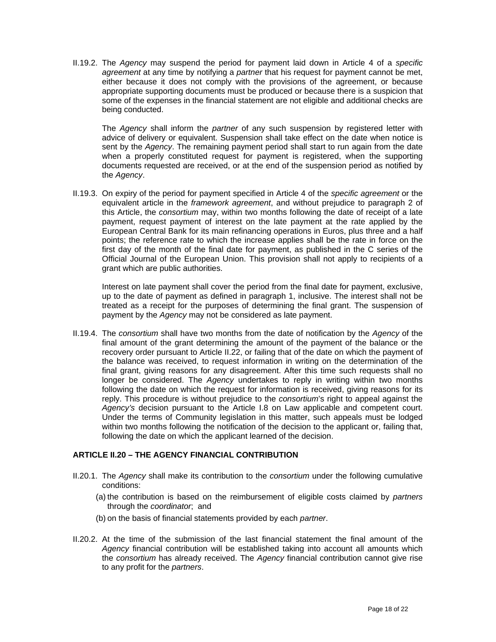II.19.2. The *Agency* may suspend the period for payment laid down in Article 4 of a *specific agreement* at any time by notifying a *partner* that his request for payment cannot be met, either because it does not comply with the provisions of the agreement, or because appropriate supporting documents must be produced or because there is a suspicion that some of the expenses in the financial statement are not eligible and additional checks are being conducted.

The *Agency* shall inform the *partner* of any such suspension by registered letter with advice of delivery or equivalent. Suspension shall take effect on the date when notice is sent by the *Agency*. The remaining payment period shall start to run again from the date when a properly constituted request for payment is registered, when the supporting documents requested are received, or at the end of the suspension period as notified by the *Agency*.

II.19.3. On expiry of the period for payment specified in Article 4 of the *specific agreement* or the equivalent article in the *framework agreement*, and without prejudice to paragraph 2 of this Article, the *consortium* may, within two months following the date of receipt of a late payment, request payment of interest on the late payment at the rate applied by the European Central Bank for its main refinancing operations in Euros, plus three and a half points; the reference rate to which the increase applies shall be the rate in force on the first day of the month of the final date for payment, as published in the C series of the Official Journal of the European Union. This provision shall not apply to recipients of a grant which are public authorities.

Interest on late payment shall cover the period from the final date for payment, exclusive, up to the date of payment as defined in paragraph 1, inclusive. The interest shall not be treated as a receipt for the purposes of determining the final grant. The suspension of payment by the *Agency* may not be considered as late payment.

II.19.4. The *consortium* shall have two months from the date of notification by the *Agency* of the final amount of the grant determining the amount of the payment of the balance or the recovery order pursuant to Article II.22, or failing that of the date on which the payment of the balance was received, to request information in writing on the determination of the final grant, giving reasons for any disagreement. After this time such requests shall no longer be considered. The *Agency* undertakes to reply in writing within two months following the date on which the request for information is received, giving reasons for its reply. This procedure is without prejudice to the *consortium*'s right to appeal against the *Agency's* decision pursuant to the Article I.8 on Law applicable and competent court. Under the terms of Community legislation in this matter, such appeals must be lodged within two months following the notification of the decision to the applicant or, failing that, following the date on which the applicant learned of the decision.

# **ARTICLE II.20 – THE AGENCY FINANCIAL CONTRIBUTION**

- II.20.1. The *Agency* shall make its contribution to the *consortium* under the following cumulative conditions:
	- (a) the contribution is based on the reimbursement of eligible costs claimed by *partners* through the *coordinator*; and
	- (b) on the basis of financial statements provided by each *partner*.
- II.20.2. At the time of the submission of the last financial statement the final amount of the *Agency* financial contribution will be established taking into account all amounts which the *consortium* has already received. The *Agency* financial contribution cannot give rise to any profit for the *partners*.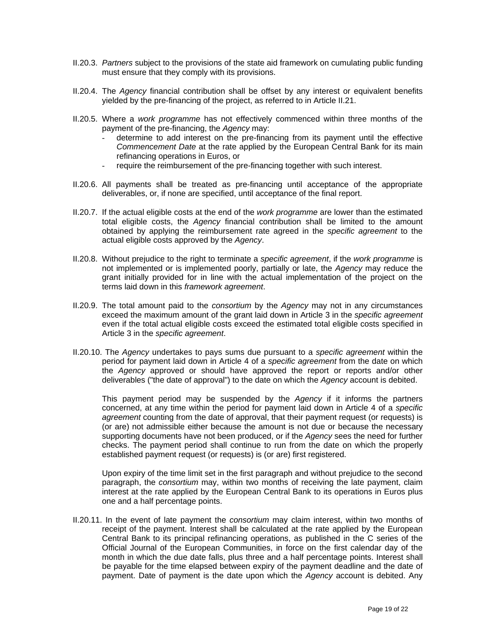- II.20.3. *Partners* subject to the provisions of the state aid framework on cumulating public funding must ensure that they comply with its provisions.
- II.20.4. The *Agency* financial contribution shall be offset by any interest or equivalent benefits yielded by the pre-financing of the project, as referred to in Article II.21.
- II.20.5. Where a *work programme* has not effectively commenced within three months of the payment of the pre-financing, the *Agency* may:
	- determine to add interest on the pre-financing from its payment until the effective *Commencement Date* at the rate applied by the European Central Bank for its main refinancing operations in Euros, or
	- require the reimbursement of the pre-financing together with such interest.
- II.20.6. All payments shall be treated as pre-financing until acceptance of the appropriate deliverables, or, if none are specified, until acceptance of the final report.
- II.20.7. If the actual eligible costs at the end of the *work programme* are lower than the estimated total eligible costs, the *Agency* financial contribution shall be limited to the amount obtained by applying the reimbursement rate agreed in the *specific agreement* to the actual eligible costs approved by the *Agency*.
- II.20.8. Without prejudice to the right to terminate a *specific agreement*, if the *work programme* is not implemented or is implemented poorly, partially or late, the *Agency* may reduce the grant initially provided for in line with the actual implementation of the project on the terms laid down in this *framework agreement*.
- II.20.9. The total amount paid to the *consortium* by the *Agency* may not in any circumstances exceed the maximum amount of the grant laid down in Article 3 in the *specific agreement* even if the total actual eligible costs exceed the estimated total eligible costs specified in Article 3 in the *specific agreement*.
- II.20.10. The *Agency* undertakes to pays sums due pursuant to a *specific agreement* within the period for payment laid down in Article 4 of a *specific agreement* from the date on which the *Agency* approved or should have approved the report or reports and/or other deliverables ("the date of approval") to the date on which the *Agency* account is debited.

This payment period may be suspended by the *Agency* if it informs the partners concerned, at any time within the period for payment laid down in Article 4 of a *specific agreement* counting from the date of approval, that their payment request (or requests) is (or are) not admissible either because the amount is not due or because the necessary supporting documents have not been produced, or if the *Agency* sees the need for further checks. The payment period shall continue to run from the date on which the properly established payment request (or requests) is (or are) first registered.

Upon expiry of the time limit set in the first paragraph and without prejudice to the second paragraph, the *consortium* may, within two months of receiving the late payment, claim interest at the rate applied by the European Central Bank to its operations in Euros plus one and a half percentage points.

II.20.11. In the event of late payment the *consortium* may claim interest, within two months of receipt of the payment. Interest shall be calculated at the rate applied by the European Central Bank to its principal refinancing operations, as published in the C series of the Official Journal of the European Communities, in force on the first calendar day of the month in which the due date falls, plus three and a half percentage points. Interest shall be payable for the time elapsed between expiry of the payment deadline and the date of payment. Date of payment is the date upon which the *Agency* account is debited. Any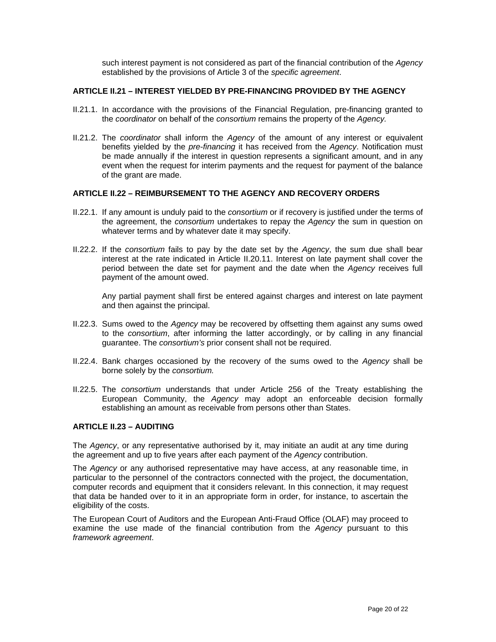such interest payment is not considered as part of the financial contribution of the *Agency*  established by the provisions of Article 3 of the *specific agreement*.

# **ARTICLE II.21 – INTEREST YIELDED BY PRE-FINANCING PROVIDED BY THE AGENCY**

- II.21.1. In accordance with the provisions of the Financial Regulation, pre-financing granted to the *coordinator* on behalf of the *consortium* remains the property of the *Agency.*
- II.21.2. The *coordinator* shall inform the *Agency* of the amount of any interest or equivalent benefits yielded by the *pre-financing* it has received from the *Agency*. Notification must be made annually if the interest in question represents a significant amount, and in any event when the request for interim payments and the request for payment of the balance of the grant are made.

# **ARTICLE II.22 – REIMBURSEMENT TO THE AGENCY AND RECOVERY ORDERS**

- II.22.1. If any amount is unduly paid to the *consortium* or if recovery is justified under the terms of the agreement, the *consortium* undertakes to repay the *Agency* the sum in question on whatever terms and by whatever date it may specify.
- II.22.2. If the *consortium* fails to pay by the date set by the *Agency*, the sum due shall bear interest at the rate indicated in Article II.20.11. Interest on late payment shall cover the period between the date set for payment and the date when the *Agency* receives full payment of the amount owed.

Any partial payment shall first be entered against charges and interest on late payment and then against the principal.

- II.22.3. Sums owed to the *Agency* may be recovered by offsetting them against any sums owed to the *consortium*, after informing the latter accordingly, or by calling in any financial guarantee. The *consortium's* prior consent shall not be required.
- II.22.4. Bank charges occasioned by the recovery of the sums owed to the *Agency* shall be borne solely by the *consortium.*
- II.22.5. The *consortium* understands that under Article 256 of the Treaty establishing the European Community, the *Agency* may adopt an enforceable decision formally establishing an amount as receivable from persons other than States.

### **ARTICLE II.23 – AUDITING**

The *Agency*, or any representative authorised by it, may initiate an audit at any time during the agreement and up to five years after each payment of the *Agency* contribution.

The *Agency* or any authorised representative may have access, at any reasonable time, in particular to the personnel of the contractors connected with the project, the documentation, computer records and equipment that it considers relevant. In this connection, it may request that data be handed over to it in an appropriate form in order, for instance, to ascertain the eligibility of the costs.

The European Court of Auditors and the European Anti-Fraud Office (OLAF) may proceed to examine the use made of the financial contribution from the *Agency* pursuant to this *framework agreement*.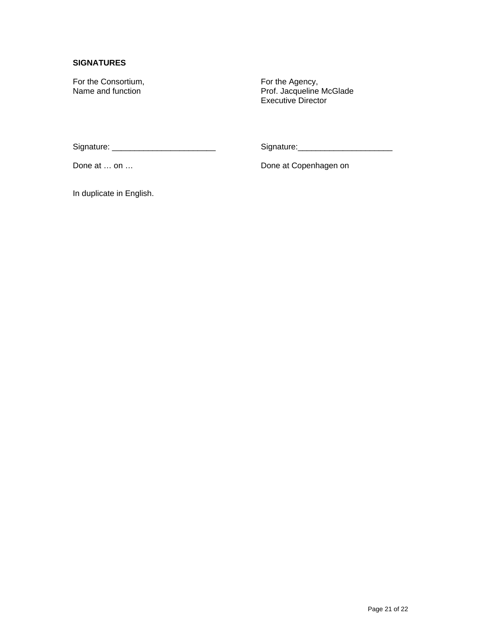# **SIGNATURES**

For the Consortium, Name and function

For the Agency, Prof. Jacqueline McGlade Executive Director

Signature: \_\_\_\_\_\_\_\_\_\_\_\_\_\_\_\_\_\_\_\_\_\_\_

Signature:\_\_\_\_\_\_\_\_\_\_\_\_\_\_\_\_\_\_\_\_\_

Done at ... on ... Contact the Done at Copenhagen on Done at Copenhagen on

In duplicate in English.